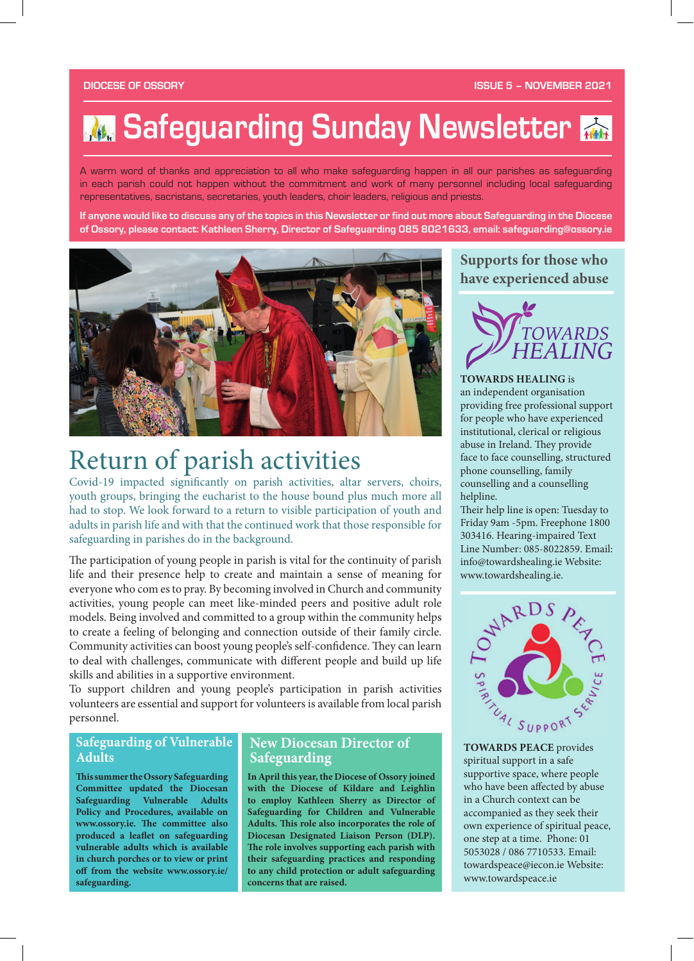# **M. Safeguarding Sunday Newsletter**

A warm word of thanks and appreciation to all who make safeguarding happen in all our parishes as safeguarding in each parish could not happen without the commitment and work of many personnel including local safeguarding representatives, sacristans, secretaries, youth leaders, choir leaders, religious and priests.

**If anyone would like to discuss any of the topics in this Newsletter or find out more about Safeguarding in the Diocese of Ossory, please contact: Kathleen Sherry, Director of Safeguarding 085 8021633, email: safeguarding@ossory.ie**



# Return of parish activities

Covid-19 impacted significantly on parish activities, altar servers, choirs, youth groups, bringing the eucharist to the house bound plus much more all had to stop. We look forward to a return to visible participation of youth and adults in parish life and with that the continued work that those responsible for safeguarding in parishes do in the background.

The participation of young people in parish is vital for the continuity of parish life and their presence help to create and maintain a sense of meaning for everyone who com es to pray. By becoming involved in Church and community activities, young people can meet like-minded peers and positive adult role models. Being involved and committed to a group within the community helps to create a feeling of belonging and connection outside of their family circle. Community activities can boost young people's self-confidence. They can learn to deal with challenges, communicate with different people and build up life skills and abilities in a supportive environment.

To support children and young people's participation in parish activities volunteers are essential and support for volunteers is available from local parish personnel.

### **Safeguarding of Vulnerable Adults**

**This summer the Ossory Safeguarding Committee updated the Diocesan Safeguarding Vulnerable Adults Policy and Procedures, available on**  www.ossory.ie. The committee also produced a leaflet on safeguarding **vulnerable adults which is available in church porches or to view or print**  off from the website www.ossory.ie/ **safeguarding.**

#### **New Diocesan Director of Safeguarding**

**In April this year, the Diocese of Ossory joined with the Diocese of Kildare and Leighlin to employ Kathleen Sherry as Director of Safeguarding for Children and Vulnerable**  Adults. This role also incorporates the role of **Diocesan Designated Liaison Person (DLP).**  The role involves supporting each parish with **their safeguarding practices and responding to any child protection or adult safeguarding concerns that are raised.**

### **Supports for those who have experienced abuse**



#### **TOWARDS HEALING** is

an independent organisation providing free professional support for people who have experienced institutional, clerical or religious abuse in Ireland. They provide face to face counselling, structured phone counselling, family counselling and a counselling helpline.

Their help line is open: Tuesday to Friday 9am -5pm. Freephone 1800 303416. Hearing-impaired Text Line Number: 085-8022859. Email: info@towardshealing.ie Website: www.towardshealing.ie.



**TOWARDS PEACE** provides spiritual support in a safe supportive space, where people who have been affected by abuse in a Church context can be accompanied as they seek their own experience of spiritual peace, one step at a time. Phone: 01 5053028 / 086 7710533. Email: towardspeace@iecon.ie Website: www.towardspeace.ie